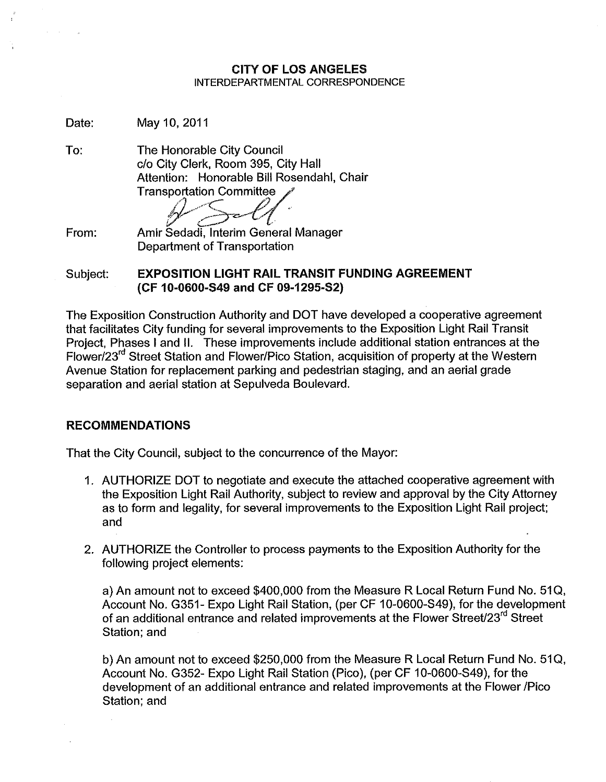## CITY OF LOS ANGELES INTERDEPARTMENTAL CORRESPONDENCE

Date: May 10,2011

To:

The Honorable City Council c/o City Clerk, Room 395, City Hall Attention: Honorable Bill Rosendahl, Chair **Transportation Committee** 

*f?,"C <sup>P</sup>A• /' v" "".--;"'~~C./.,. I \.-~ •*

From: Amir Sedadi, Interim General Manager Department of Transportation

Subject: EXPOSITION LIGHT RAIL TRANSIT FUNDING AGREEMENT (CF 10-0600-S49 and CF 09-1295-S2)

The Exposition Construction Authority and DOT have developed a cooperative agreement that facilitates City funding for several improvements to the Exposition Light Rail Transit Project, Phases I and II. These improvements include additional station entrances at the Flower/23<sup>rd</sup> Street Station and Flower/Pico Station, acquisition of property at the Western Avenue Station for replacement parking and pedestrian staging, and an aerial grade separation and aerial station at Sepulveda Boulevard.

# RECOMMENDATIONS

That the City Council, subject to the concurrence of the Mayor:

- 1. AUTHORIZE DOT to negotiate and execute the attached cooperative agreement with the Exposition Light Rail Authority, subject to review and approval by the City Attorney as to form and legality, for several improvements to the Exposition Light Rail project; and
- 2. AUTHORIZE the Controller to process payments to the Exposition Authority for the following project elements:

a) An amount not to exceed \$400,000 from the Measure R Local Return Fund No. *510,* Account No. G351- Expo Light Rail Station, (per CF 10-0600-S49), for the development of an additional entrance and related improvements at the Flower Street/23 $^{\text{rd}}$  Street Station; and

b) An amount not to exceed \$250,000 from the Measure R Local Return Fund No. *510,* Account No. G352- Expo Light Rail Station (Pico), (per CF 10-0600-S49), for the development of an additional entrance and related improvements at the Flower /Pico Station; and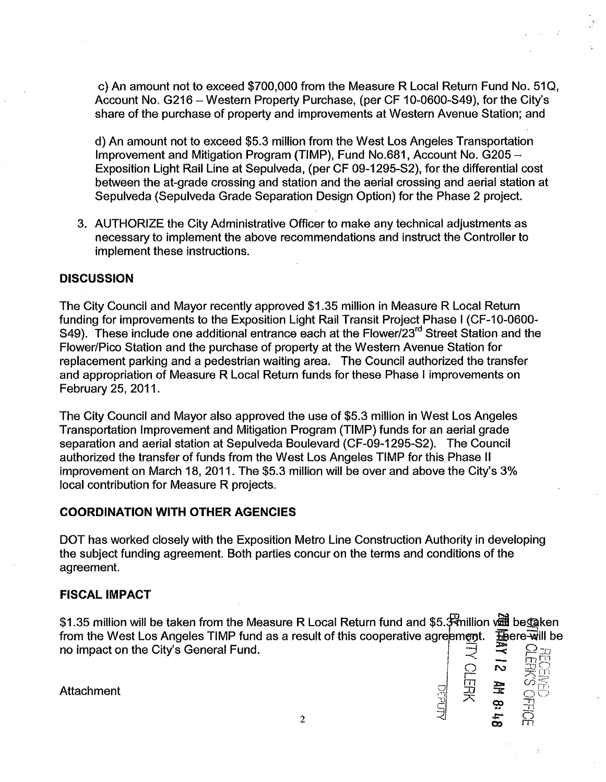c) An amount not to exceed \$700,000 from the Measure R Local Return Fund No. 51Q, Account No. G216 - Western Property Purchase, (per CF 10-0600-S49), for the City's share of the purchase of property and improvements at Western Avenue Station; and

d) An amount not to exceed \$5.3 million from the West Los Angeles Transportation Improvement and Mitigation Program (TIMP), Fund No.681, Account No. G205 - Exposition Light Rail Line at Sepulveda, (per CF 09-1295-S2), for the differential cost between the at-grade crossing and station and the aerial crossing and aerial station at Sepulveda (Sepulveda Grade Separation Design Option) for the Phase 2 project.

3. AUTHORIZE the City Administrative Officer to make any technical adjustments as necessary to implement the above recommendations and instruct the Controller to implement these instructions.

### **DISCUSSION**

The City Council and Mayor recently approved \$1.35 million in Measure R Local Return funding for improvements to the Exposition Light Rail Transit Project Phase I (CF-10-0600- S49). These include one additional entrance each at the Flower/23<sup>rd</sup> Street Station and the Flower/Pico Station and the purchase of property at the Western Avenue Station for replacement parking and a pedestrian waiting area. The Council authorized the transfer and appropriation of Measure R Local Return funds for these Phase I improvements on February 25, 2011.

The City Council and Mayor also approved the use of \$5.3 million in West Los Angeles Transportation Improvement and Mitigation Program (TIMP) funds for an aerial grade separation and aerial station at Sepulveda Boulevard (CF-09-1295-S2). The Council authorized the transfer of funds from the West Los Angeles TIMP for this Phase II improvement on March 18, 2011. The \$5.3 million will be over and above the City's 3% local contribution for Measure R projects.

#### **COORDINATION WITH OTHER AGENCIES**

DOT has worked closely with the Exposition Metro Line Construction Authority in developing the subject funding agreement. Both parties concur on the terms and conditions of the agreement.

### **FISCAL IMPACT**

\$1.35 million will be taken from the Measure R Local Return fund and \$5.3 million value be taken from the West Los Angeles TIMP fund as a result of this cooperative agreement. For evalue ho impact on the City's General Fu from the West Los Angeles TIMP fund as a result of this cooperative agreement. no impact on the City's General Fund.<br>
Attachment<br>  $\begin{array}{c}\n\bigoplus_{i=1}^{\infty} \mathbb{R} \mathbb{R} \\
\bigoplus_{i=1}^{\infty} \mathbb{R} \mathbb{R} \n\end{array}$  $\frac{1}{\sqrt{2}}$   $\frac{1}{\sqrt{2}}$   $\frac{1}{\sqrt{2}}$   $\frac{1}{\sqrt{2}}$ 

I

rea **z**<br>**A z z z z** 

 $\frac{11}{2}$   $\frac{11}{2}$   $\frac{11}{2}$ 

I

Attachment , The contract of the contract of  $\mathbb{R}^1$  서 그  $\mathbb{R}^2$  , 그 : 그리고 아이는 그리고 아이는 그리고 아이는 그리고 아이는 그리고 아이는 그리고 아이는 그리고 아이는 그리고 아이는 그리고 아이는 그리고 아이는 그리고 아이는 그리고 아이는 그리고 아이는 그리고 아이는 그리고 아이는 그리고 아이는 그리고 아이는 그리고 아이는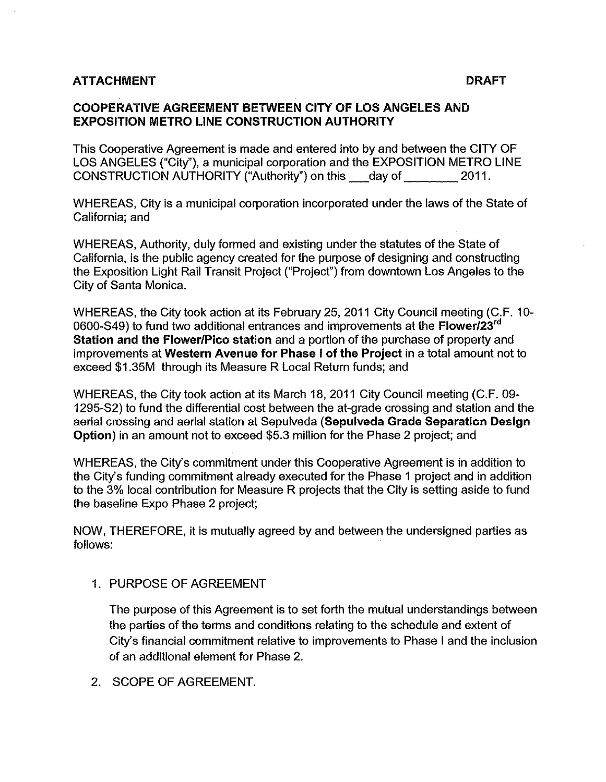## ATTACHMENT DRAFT DESCRIPTION OF A SERVICE OF A SERVICE OF A SERVICE OF A SERVICE OF A SERVICE OF A SERVICE OF A

# COOPERATIVE AGREEMENT BETWEEN CITY OF LOS ANGELES AND EXPOSITION METRO LINE CONSTRUCTION AUTHORITY

This Cooperative Agreement is made and entered into by and between the CITY OF LOS ANGELES ("City"), a municipal corporation and the EXPOSITION METRO LINE CONSTRUCTION AUTHORITY ("Authority") on this day of 2011.

WHEREAS, City is a municipal corporation incorporated under the laws of the State of California; and

WHEREAS, Authority, duly formed and existing under the statutes of the State of California, is the public agency created for the purpose of designing and constructing the Exposition Light Rail Transit Project ("Project") from downtown Los Angeles to the City of Santa Monica.

WHEREAS, the City took action at its February 25, 2011 City Council meeting (C.F. 10- 0600-S49) to fund two additional entrances and improvements at the **Flower/23<sup>rd</sup>** Station and the Flower/Pico station and a portion of the purchase of property and improvements at Western Avenue for Phase I of the Project in a total amount not to exceed \$1.35M through its Measure R Local Return funds; and

WHEREAS, the City took action at its March 18, 2011 City Council meeting (C.F. 09- 1295-S2) to fund the differential cost between the at-grade crossing and station and the aerial crossing and aerial station at Sepulveda (Sepulveda Grade Separation Design Option) in an amount not to exceed \$5.3 million for the Phase 2 project; and

WHEREAS, the City's commitment under this Cooperative Agreement is in addition to the City's funding commitment already executed for the Phase 1 project and in addition to the 3% local contribution for Measure R projects that the City is setting aside to fund the baseline Expo Phase 2 project;

NOW, THEREFORE, it is mutually agreed by and between the undersigned parties as follows:

1. PURPOSE OF AGREEMENT

The purpose of this Agreement is to set forth the mutual understandings between the parties of the terms and conditions relating to the schedule and extent of City's financial commitment relative to improvements to Phase I and the inclusion of an additional element for Phase 2.

2. SCOPE OF AGREEMENT.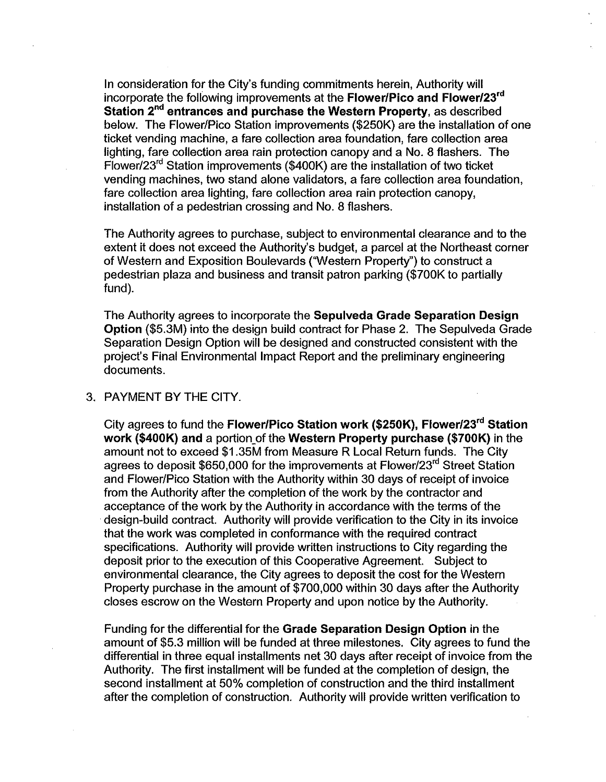In consideration for the City's funding commitments herein, Authority will incorporate the following improvements at the Flower/Pico and Flower/23<sup>rd</sup> **Station 2<sup>nd</sup> entrances and purchase the Western Property**, as described below. The Flower/Pico Station improvements (\$2S0K) are the installation of one ticket vending machine, a fare collection area foundation, fare collection area lighting, fare collection area rain protection canopy and a No. 8 flashers. The Flower/23 $<sup>rd</sup>$  Station improvements (\$400K) are the installation of two ticket</sup> vending machines, two stand alone validators, a fare collection area foundation, fare collection area lighting, fare collection area rain protection canopy, installation of a pedestrian crossing and No. 8 flashers.

The Authority agrees to purchase, subject to environmental clearance and to the extent it does not exceed the Authority's budget, a parcel at the Northeast corner of Western and Exposition Boulevards ("Western Property") to construct a pedestrian plaza and business and transit patron parking (\$700K to partially fund).

The Authority agrees to incorporate the Sepulveda Grade Separation Design Option (\$S.3M) into the design build contract for Phase 2. The Sepulveda Grade Separation Design Option will be designed and constructed consistent with the project's Final Environmental Impact Report and the preliminary engineering documents.

### 3. PAYMENT BY THE CITY.

City agrees to fund the Flower/Pico Station work (\$250K), Flower/23<sup>rd</sup> Station work (\$400K) and a portion of the Western Property purchase (\$700K) in the amount not to exceed \$1.3SM from Measure R Local Return funds. The City agrees to deposit \$650,000 for the improvements at Flower/23rd Street Station and Flower/Pico Station with the Authority within 30 days of receipt of invoice from the Authority after the completion of the work by the contractor and acceptance of the work by the Authority in accordance with the terms of the .design-build contract. Authority will provide verification to the City in its invoice that the work was completed in conformance with the required contract specifications. Authority will provide written instructions to City regarding the deposit prior to the execution of this Cooperative Agreement. Subject to environmental clearance, the City agrees to deposit the cost for the Western Property purchase in the amount of \$700,000 within 30 days after the Authority closes escrow on the Western Property and upon notice by the Authority.

Funding for the differential for the Grade Separation Design Option in the amount of \$S.3 million will be funded at three milestones. City agrees to fund the differential in three equal installments net 30 days after receipt of invoice from the Authority. The first installment will be funded at the completion of design, the second installment at 50% completion of construction and the third installment after the completion of construction. Authority will provide written verification to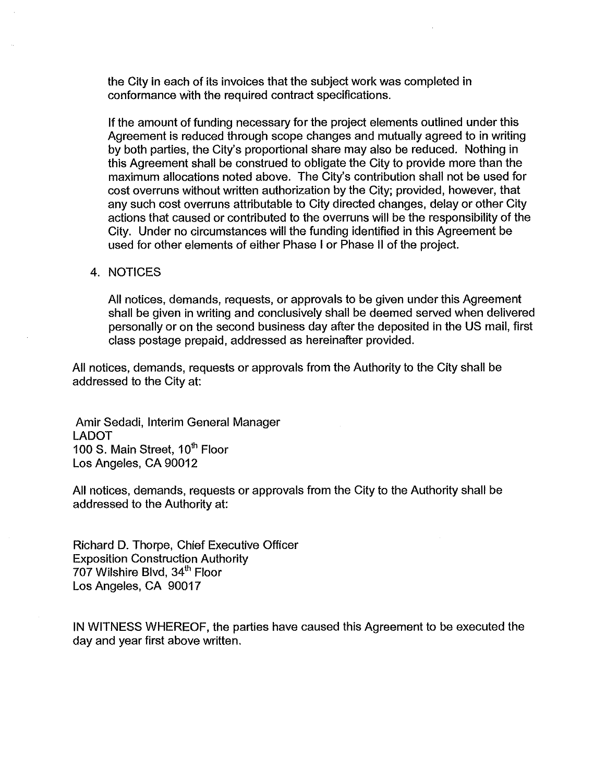the City in each of its invoices that the subject work was completed in conformance with the required contract specifications.

If the amount of funding necessary for the project elements outlined under this Agreement is reduced through scope changes and mutually agreed to in writing by both parties, the City's proportional share may also be reduced. Nothing in this Agreement shall be construed to obligate the City to provide more than the maximum allocations noted above. The City's contribution shall not be used for cost overruns without written authorization by the City; provided, however, that any such cost overruns attributable to City directed changes, delay or other City actions that caused or contributed to the overruns will be the responsibility of the City. Under no circumstances will the funding identified in this Agreement be used for other elements of either Phase I or Phase II of the project.

#### 4. NOTICES

All notices, demands, requests, or approvals to be given under this Agreement shall be given in writing and conclusively shall be deemed served when delivered personally or on the second business day after the deposited in the US mail, first class postage prepaid, addressed as hereinafter provided.

All notices, demands, requests or approvals from the Authority to the City shall be addressed to the City at:

Amir Sedadi, Interim General Manager LADOT 100 S. Main Street, 10<sup>th</sup> Floor Los Angeles, CA 90012

All notices, demands, requests or approvals from the City to the Authority shall be addressed to the Authority at:

Richard D. Thorpe, Chief Executive Officer Exposition Construction Authority 707 Wilshire Blvd, 34<sup>th</sup> Floor Los Angeles, CA 90017

IN WITNESS WHEREOF, the parties have caused this Agreement to be executed the day and year first above written.